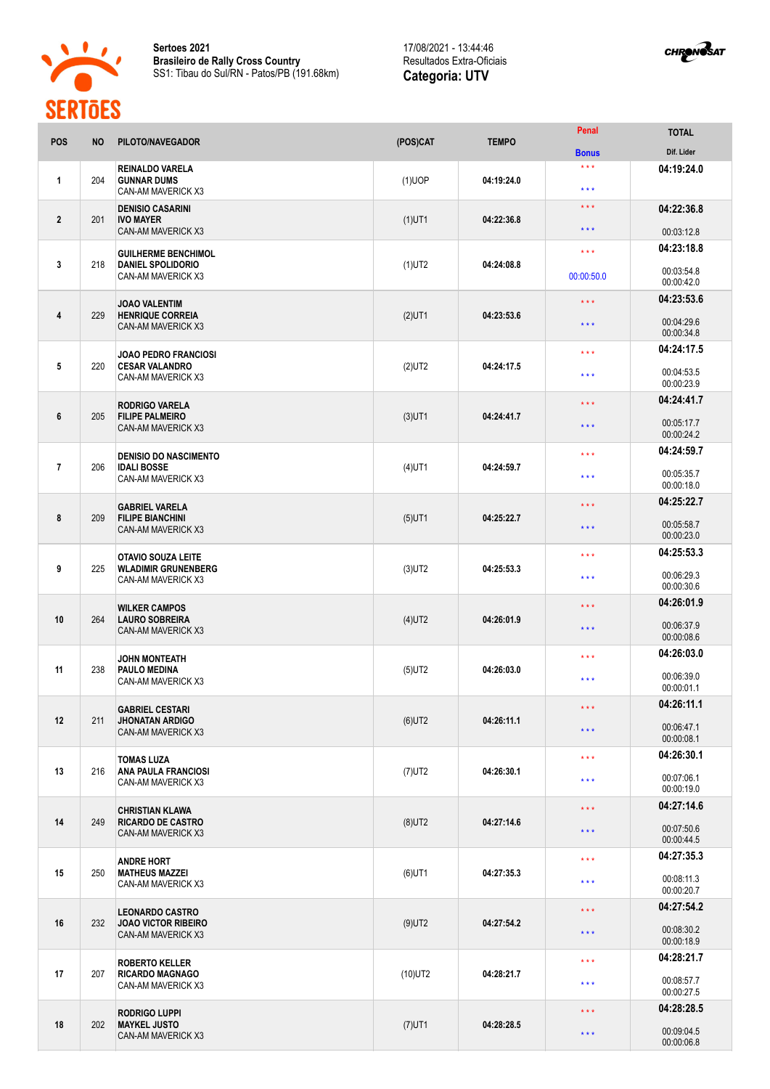

**Sertoes 2021 Brasileiro de Rally Cross Country** SS1: Tibau do Sul/RN - Patos/PB (191.68km)

## 17/08/2021 - 13:44:46 Resultados Extra-Oficiais **Categoria: UTV**



| <b>POS</b>     | <b>NO</b> | PILOTO/NAVEGADOR                                                             | (POS)CAT   | <b>TEMPO</b> | Penal                                              | <b>TOTAL</b>             |
|----------------|-----------|------------------------------------------------------------------------------|------------|--------------|----------------------------------------------------|--------------------------|
|                |           |                                                                              |            |              | <b>Bonus</b>                                       | Dif. Lider               |
| $\mathbf{1}$   | 204       | <b>REINALDO VARELA</b><br><b>GUNNAR DUMS</b><br>CAN-AM MAVERICK X3           | $(1)$ UOP  | 04:19:24.0   | $\star\star\star$<br>$\star \star \star$           | 04:19:24.0               |
| $\overline{2}$ | 201       | <b>DENISIO CASARINI</b><br><b>IVO MAYER</b><br><b>CAN-AM MAVERICK X3</b>     | $(1)$ UT1  | 04:22:36.8   | $\star$ $\star$ $\star$<br>$\star$ $\star$ $\star$ | 04:22:36.8<br>00:03:12.8 |
|                |           |                                                                              |            |              | $\star \star \star$                                | 04:23:18.8               |
| 3              | 218       | <b>GUILHERME BENCHIMOL</b><br><b>DANIEL SPOLIDORIO</b><br>CAN-AM MAVERICK X3 | $(1)$ UT2  | 04:24:08.8   | 00:00:50.0                                         | 00:03:54.8<br>00:00:42.0 |
|                |           | <b>JOAO VALENTIM</b>                                                         |            |              | $\star \star \star$                                | 04:23:53.6               |
| 4              | 229       | <b>HENRIQUE CORREIA</b><br>CAN-AM MAVERICK X3                                | $(2)$ UT1  | 04:23:53.6   | $\star \star \star$                                | 00:04:29.6<br>00:00:34.8 |
|                |           | <b>JOAO PEDRO FRANCIOSI</b>                                                  |            |              | $\star$ $\star$ $\star$                            | 04:24:17.5               |
| 5              | 220       | <b>CESAR VALANDRO</b><br>CAN-AM MAVERICK X3                                  | $(2)$ UT2  | 04:24:17.5   | $\star$ $\star$ $\star$                            | 00:04:53.5<br>00:00:23.9 |
|                |           | <b>RODRIGO VARELA</b>                                                        |            |              | $\star\star\star$                                  | 04:24:41.7               |
| 6              | 205       | <b>FILIPE PALMEIRO</b><br>CAN-AM MAVERICK X3                                 | $(3)$ UT1  | 04:24:41.7   | $\star \star \star$                                | 00:05:17.7<br>00:00:24.2 |
|                |           | <b>DENISIO DO NASCIMENTO</b>                                                 |            |              | $\star$ $\star$ $\star$                            | 04:24:59.7               |
| $\overline{7}$ | 206       | <b>IDALI BOSSE</b><br>CAN-AM MAVERICK X3                                     | $(4)$ UT1  | 04:24:59.7   | $* * *$                                            | 00:05:35.7<br>00:00:18.0 |
|                |           | <b>GABRIEL VARELA</b>                                                        |            |              | $\star \star \star$                                | 04:25:22.7               |
| 8              | 209       | <b>FILIPE BIANCHINI</b><br>CAN-AM MAVERICK X3                                | $(5)$ UT1  | 04:25:22.7   | $\star \star \star$                                | 00:05:58.7<br>00:00:23.0 |
|                |           | <b>OTAVIO SOUZA LEITE</b>                                                    |            |              | $\star \star \star$                                | 04:25:53.3               |
| 9              | 225       | <b>WLADIMIR GRUNENBERG</b><br>CAN-AM MAVERICK X3                             | $(3)$ UT2  | 04:25:53.3   | $\star \star \star$                                | 00:06:29.3<br>00:00:30.6 |
|                |           | <b>WILKER CAMPOS</b>                                                         |            |              | $\star \star \star$                                | 04:26:01.9               |
| 10             | 264       | <b>LAURO SOBREIRA</b><br>CAN-AM MAVERICK X3                                  | $(4)$ UT2  | 04:26:01.9   | $\star \star \star$                                | 00:06:37.9<br>00:00:08.6 |
|                |           | <b>JOHN MONTEATH</b>                                                         |            |              | $\star \star \star$                                | 04:26:03.0               |
| 11             | 238       | <b>PAULO MEDINA</b><br>CAN-AM MAVERICK X3                                    | $(5)$ UT2  | 04:26:03.0   | $\star \star \star$                                | 00:06:39.0<br>00:00:01.1 |
|                |           | <b>GABRIEL CESTARI</b>                                                       |            |              | $\star\star\star$                                  | 04:26:11.1               |
| 12             | 211       | <b>JHONATAN ARDIGO</b><br>CAN-AM MAVERICK X3                                 | $(6)$ UT2  | 04:26:11.1   | $\star$ $\star$ $\star$                            | 00:06:47.1<br>00:00:08.1 |
|                |           | <b>TOMAS LUZA</b>                                                            |            |              | $\star\star\star$                                  | 04:26:30.1               |
| 13             | 216       | <b>ANA PAULA FRANCIOSI</b><br>CAN-AM MAVERICK X3                             | $(7)$ UT2  | 04:26:30.1   | $\star$ $\star$ $\star$                            | 00:07:06.1<br>00:00:19.0 |
|                |           | <b>CHRISTIAN KLAWA</b>                                                       |            |              | $\star$ $\star$ $\star$                            | 04:27:14.6               |
| 14             | 249       | <b>RICARDO DE CASTRO</b><br>CAN-AM MAVERICK X3                               | $(8)$ UT2  | 04:27:14.6   | $\star\star\star$                                  | 00:07:50.6<br>00:00:44.5 |
|                |           | <b>ANDRE HORT</b>                                                            |            |              | $\star\star\star$                                  | 04:27:35.3               |
| 15             | 250       | <b>MATHEUS MAZZEI</b><br>CAN-AM MAVERICK X3                                  | $(6)$ UT1  | 04:27:35.3   | $\star\star\star$                                  | 00:08:11.3<br>00:00:20.7 |
|                |           | <b>LEONARDO CASTRO</b>                                                       |            |              | $\star$ $\star$ $\star$                            | 04:27:54.2               |
| 16             | 232       | <b>JOAO VICTOR RIBEIRO</b><br>CAN-AM MAVERICK X3                             | $(9)$ UT2  | 04:27:54.2   | $\star$ $\star$ $\star$                            | 00:08:30.2<br>00:00:18.9 |
|                |           | <b>ROBERTO KELLER</b>                                                        |            |              | $\star\star\star$                                  | 04:28:21.7               |
| 17             | 207       | <b>RICARDO MAGNAGO</b><br>CAN-AM MAVERICK X3                                 | $(10)$ UT2 | 04:28:21.7   | $\star$ $\star$ $\star$                            | 00:08:57.7<br>00:00:27.5 |
|                |           | <b>RODRIGO LUPPI</b>                                                         |            |              | $\star$ $\star$ $\star$                            | 04:28:28.5               |
| 18             | 202       | <b>MAYKEL JUSTO</b><br>CAN-AM MAVERICK X3                                    | $(7)$ UT1  | 04:28:28.5   | $\star\star\star$                                  | 00:09:04.5<br>00:00:06.8 |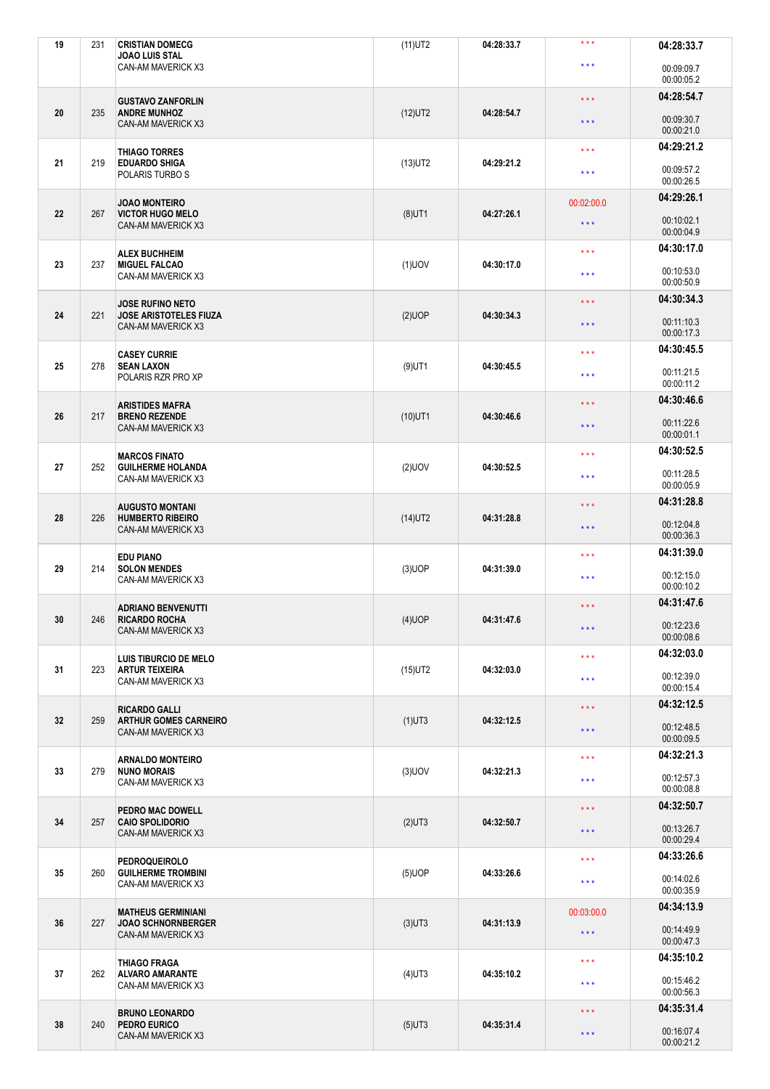| 19 | 231 | <b>CRISTIAN DOMECG</b><br><b>JOAO LUIS STAL</b>                              | $(11)$ UT2 | 04:28:33.7 | $***$                   | 04:28:33.7               |
|----|-----|------------------------------------------------------------------------------|------------|------------|-------------------------|--------------------------|
|    |     | CAN-AM MAVERICK X3                                                           |            |            | $\star \star \star$     | 00:09:09.7<br>00:00:05.2 |
|    |     | <b>GUSTAVO ZANFORLIN</b>                                                     |            |            | $\star$ $\star$ $\star$ | 04:28:54.7               |
| 20 | 235 | <b>ANDRE MUNHOZ</b><br>CAN-AM MAVERICK X3                                    | $(12)$ UT2 | 04:28:54.7 | $\star\star\star$       | 00:09:30.7<br>00:00:21.0 |
| 21 |     | <b>THIAGO TORRES</b>                                                         |            | 04:29:21.2 | $\star \star \star$     | 04:29:21.2               |
|    | 219 | <b>EDUARDO SHIGA</b><br>POLARIS TURBO S                                      | $(13)$ UT2 |            | $***$                   | 00:09:57.2<br>00:00:26.5 |
|    |     | <b>JOAO MONTEIRO</b>                                                         |            |            | 00:02:00.0              | 04:29:26.1               |
| 22 | 267 | <b>VICTOR HUGO MELO</b><br>CAN-AM MAVERICK X3                                | $(8)$ UT1  | 04:27:26.1 | $\star\star\star$       | 00:10:02.1<br>00:00:04.9 |
| 23 | 237 | <b>ALEX BUCHHEIM</b><br><b>MIGUEL FALCAO</b>                                 | $(1)$ UOV  | 04:30:17.0 | $\star \star \star$     | 04:30:17.0               |
|    |     | CAN-AM MAVERICK X3                                                           |            |            | $\star \star \star$     | 00:10:53.0<br>00:00:50.9 |
| 24 | 221 | <b>JOSE RUFINO NETO</b><br><b>JOSE ARISTOTELES FIUZA</b>                     | $(2)$ UOP  | 04:30:34.3 | $\star \star \star$     | 04:30:34.3               |
|    |     | CAN-AM MAVERICK X3                                                           |            |            | $\star$ $\star$ $\star$ | 00:11:10.3<br>00:00:17.3 |
|    |     | <b>CASEY CURRIE</b>                                                          |            |            | $\star \star \star$     | 04:30:45.5               |
| 25 | 278 | <b>SEAN LAXON</b><br>POLARIS RZR PRO XP                                      | $(9)$ UT1  | 04:30:45.5 | $\star \star \star$     | 00:11:21.5<br>00:00:11.2 |
|    |     | <b>ARISTIDES MAFRA</b>                                                       |            |            | $\star$ $\star$ $\star$ | 04:30:46.6               |
| 26 | 217 | <b>BRENO REZENDE</b><br>CAN-AM MAVERICK X3                                   | $(10)$ UT1 | 04:30:46.6 | $\star$ $\star$ $\star$ | 00:11:22.6<br>00:00:01.1 |
|    | 252 | <b>MARCOS FINATO</b>                                                         |            |            | $\star \star \star$     | 04:30:52.5               |
| 27 |     | <b>GUILHERME HOLANDA</b><br>CAN-AM MAVERICK X3                               | $(2)$ UOV  | 04:30:52.5 | $\star \star \star$     | 00:11:28.5<br>00:00:05.9 |
|    |     | <b>AUGUSTO MONTANI</b>                                                       |            |            | $\star$ $\star$ $\star$ | 04:31:28.8               |
| 28 | 226 | <b>HUMBERTO RIBEIRO</b><br>CAN-AM MAVERICK X3                                | $(14)$ UT2 | 04:31:28.8 | $\star$ $\star$ $\star$ | 00:12:04.8<br>00:00:36.3 |
| 29 |     | <b>EDU PIANO</b><br><b>SOLON MENDES</b>                                      | $(3)$ UOP  | 04:31:39.0 | $\star \star \star$     | 04:31:39.0               |
|    | 214 | CAN-AM MAVERICK X3                                                           |            |            | $\star \star \star$     | 00:12:15.0<br>00:00:10.2 |
|    |     | <b>ADRIANO BENVENUTTI</b>                                                    |            |            | $\star$ $\star$ $\star$ | 04:31:47.6               |
| 30 | 246 | <b>RICARDO ROCHA</b><br>CAN-AM MAVERICK X3                                   | $(4)$ UOP  | 04:31:47.6 | $\star$ $\star$ $\star$ | 00:12:23.6<br>00:00:08.6 |
| 31 | 223 | <b>LUIS TIBURCIO DE MELO</b><br><b>ARTUR TEIXEIRA</b>                        | $(15)$ UT2 | 04:32:03.0 | $\star$ $\star$ $\star$ | 04:32:03.0               |
|    |     | CAN-AM MAVERICK X3                                                           |            |            | $\star$ $\star$ $\star$ | 00:12:39.0<br>00:00:15.4 |
|    |     | <b>RICARDO GALLI</b>                                                         |            |            | $\star$ $\star$ $\star$ | 04:32:12.5               |
| 32 | 259 | <b>ARTHUR GOMES CARNEIRO</b><br>CAN-AM MAVERICK X3                           | $(1)$ UT3  | 04:32:12.5 | $***$                   | 00:12:48.5<br>00:00:09.5 |
|    |     | <b>ARNALDO MONTEIRO</b>                                                      |            |            | $\star$ $\star$ $\star$ | 04:32:21.3               |
| 33 | 279 | <b>NUNO MORAIS</b><br>CAN-AM MAVERICK X3                                     | $(3)$ UOV  | 04:32:21.3 | $\star\star\star$       | 00:12:57.3<br>00:00:08.8 |
| 34 | 257 | PEDRO MAC DOWELL<br><b>CAIO SPOLIDORIO</b>                                   |            | 04:32:50.7 | $\star$ $\star$ $\star$ | 04:32:50.7               |
|    |     | CAN-AM MAVERICK X3                                                           | $(2)$ UT3  |            | $\star$ $\star$ $\star$ | 00:13:26.7<br>00:00:29.4 |
|    |     | <b>PEDROQUEIROLO</b>                                                         |            |            | $\star$ $\star$ $\star$ | 04:33:26.6               |
| 35 | 260 | <b>GUILHERME TROMBINI</b><br>CAN-AM MAVERICK X3                              | $(5)$ UOP  | 04:33:26.6 | $\star\star\star$       | 00:14:02.6<br>00:00:35.9 |
|    | 227 | <b>MATHEUS GERMINIANI</b><br><b>JOAO SCHNORNBERGER</b><br>CAN-AM MAVERICK X3 | $(3)$ UT3  | 04:31:13.9 | 00:03:00.0              | 04:34:13.9               |
| 36 |     |                                                                              |            |            | $\star\star\star$       | 00:14:49.9<br>00:00:47.3 |
|    |     | <b>THIAGO FRAGA</b>                                                          |            |            | $\star \star \star$     | 04:35:10.2               |
| 37 | 262 | <b>ALVARO AMARANTE</b><br>CAN-AM MAVERICK X3                                 | $(4)$ UT3  | 04:35:10.2 | $\star\star\star$       | 00:15:46.2<br>00:00:56.3 |
|    |     | <b>BRUNO LEONARDO</b><br>PEDRO EURICO<br>CAN-AM MAVERICK X3                  | $(5)$ UT3  |            | $\star \star \star$     | 04:35:31.4               |
| 38 | 240 |                                                                              |            | 04:35:31.4 | $\star$ $\star$ $\star$ | 00:16:07.4<br>00:00:21.2 |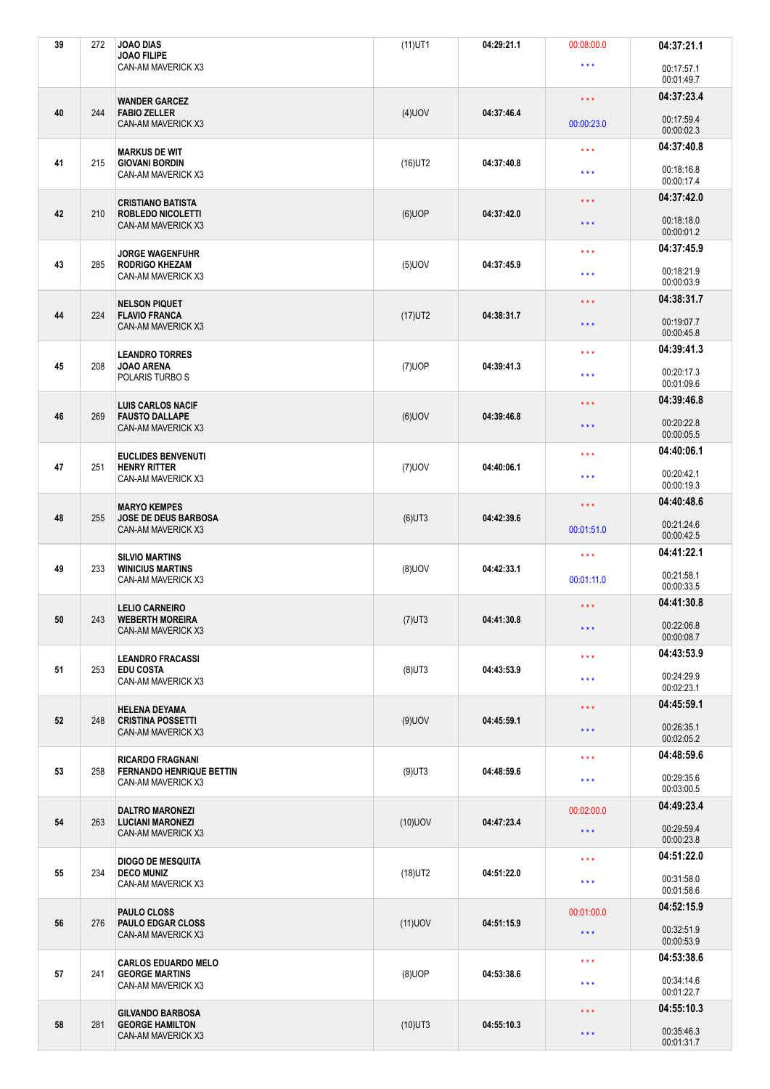| 39 | 272 | <b>JOAO DIAS</b><br><b>JOAO FILIPE</b>                | $(11)$ UT1 | 04:29:21.1 | 00:08:00.0              | 04:37:21.1               |
|----|-----|-------------------------------------------------------|------------|------------|-------------------------|--------------------------|
|    |     | CAN-AM MAVERICK X3                                    |            |            | $\star \star \star$     | 00:17:57.1<br>00:01:49.7 |
|    |     | <b>WANDER GARCEZ</b>                                  |            |            | $\star \star \star$     | 04:37:23.4               |
| 40 | 244 | <b>FABIO ZELLER</b><br>CAN-AM MAVERICK X3             | $(4)$ UOV  | 04:37:46.4 | 00:00:23.0              | 00:17:59.4<br>00:00:02.3 |
|    |     | <b>MARKUS DE WIT</b>                                  |            | 04:37:40.8 | $\star \star \star$     | 04:37:40.8               |
| 41 | 215 | <b>GIOVANI BORDIN</b><br>CAN-AM MAVERICK X3           | $(16)$ UT2 |            | $\star \star \star$     | 00:18:16.8<br>00:00:17.4 |
|    |     | <b>CRISTIANO BATISTA</b>                              |            |            | $\star \star \star$     | 04:37:42.0               |
| 42 | 210 | <b>ROBLEDO NICOLETTI</b><br>CAN-AM MAVERICK X3        | $(6)$ UOP  | 04:37:42.0 | $\star \star \star$     | 00:18:18.0<br>00:00:01.2 |
| 43 | 285 | <b>JORGE WAGENFUHR</b><br><b>RODRIGO KHEZAM</b>       | $(5)$ UOV  | 04:37:45.9 | $***$                   | 04:37:45.9               |
|    |     | CAN-AM MAVERICK X3                                    |            |            | $\star$ $\star$ $\star$ | 00:18:21.9<br>00:00:03.9 |
| 44 | 224 | <b>NELSON PIQUET</b><br><b>FLAVIO FRANCA</b>          | $(17)$ UT2 | 04:38:31.7 | $\star \star \star$     | 04:38:31.7               |
|    |     | <b>CAN-AM MAVERICK X3</b>                             |            |            | $\star \star \star$     | 00:19:07.7<br>00:00:45.8 |
|    |     | <b>LEANDRO TORRES</b>                                 |            |            | $\star \star \star$     | 04:39:41.3               |
| 45 | 208 | <b>JOAO ARENA</b><br>POLARIS TURBO S                  | $(7)$ UOP  | 04:39:41.3 | $\star \star \star$     | 00:20:17.3<br>00:01:09.6 |
|    |     | <b>LUIS CARLOS NACIF</b>                              |            |            | $\star \star \star$     | 04:39:46.8               |
| 46 | 269 | <b>FAUSTO DALLAPE</b><br>CAN-AM MAVERICK X3           | $(6)$ UOV  | 04:39:46.8 | $\star \star \star$     | 00:20:22.8<br>00:00:05.5 |
|    |     | <b>EUCLIDES BENVENUTI</b>                             |            |            | $\star \star \star$     | 04:40:06.1               |
| 47 | 251 | <b>HENRY RITTER</b><br>CAN-AM MAVERICK X3             | $(7)$ UOV  | 04:40:06.1 | $\star \star \star$     | 00:20:42.1<br>00:00:19.3 |
|    |     | <b>MARYO KEMPES</b>                                   |            |            | $\star$ $\star$ $\star$ | 04:40:48.6               |
| 48 | 255 | <b>JOSE DE DEUS BARBOSA</b><br>CAN-AM MAVERICK X3     | $(6)$ UT3  | 04:42:39.6 | 00:01:51.0              | 00:21:24.6<br>00:00:42.5 |
|    |     | <b>SILVIO MARTINS</b>                                 |            |            | $\star \star \star$     | 04:41:22.1               |
|    |     |                                                       |            |            |                         |                          |
| 49 | 233 | <b>WINICIUS MARTINS</b><br>CAN-AM MAVERICK X3         | $(8)$ UOV  | 04:42:33.1 | 00:01:11.0              | 00:21:58.1<br>00:00:33.5 |
|    |     | <b>LELIO CARNEIRO</b>                                 |            |            | $\star$ $\star$ $\star$ | 04:41:30.8               |
| 50 | 243 | <b>WEBERTH MOREIRA</b><br>CAN-AM MAVERICK X3          | $(7)$ UT3  | 04:41:30.8 | $\star$ $\star$ $\star$ | 00:22:06.8<br>00:00:08.7 |
|    |     | <b>LEANDRO FRACASSI</b>                               |            |            | $\star \star \star$     | 04:43:53.9               |
| 51 | 253 | <b>EDU COSTA</b><br>CAN-AM MAVERICK X3                | $(8)$ UT3  | 04:43:53.9 | $\star$ $\star$ $\star$ | 00:24:29.9<br>00:02:23.1 |
|    |     | <b>HELENA DEYAMA</b>                                  |            |            | $\star \star \star$     | 04:45:59.1               |
| 52 | 248 | <b>CRISTINA POSSETTI</b><br>CAN-AM MAVERICK X3        | $(9)$ UOV  | 04:45:59.1 | $\star\star\star$       | 00:26:35.1<br>00:02:05.2 |
|    |     | <b>RICARDO FRAGNANI</b>                               |            |            | $\star \star \star$     | 04:48:59.6               |
| 53 | 258 | <b>FERNANDO HENRIQUE BETTIN</b><br>CAN-AM MAVERICK X3 | $(9)$ UT3  | 04:48:59.6 | $\star$ $\star$ $\star$ | 00:29:35.6<br>00:03:00.5 |
|    |     | <b>DALTRO MARONEZI</b>                                |            |            | 00:02:00.0              | 04:49:23.4               |
| 54 | 263 | <b>LUCIANI MARONEZI</b><br>CAN-AM MAVERICK X3         | $(10)$ UOV | 04:47:23.4 | $\star$ $\star$ $\star$ | 00:29:59.4<br>00:00:23.8 |
|    |     | <b>DIOGO DE MESQUITA</b>                              |            |            | $\star \star \star$     | 04:51:22.0               |
| 55 | 234 | <b>DECO MUNIZ</b><br>CAN-AM MAVERICK X3               | $(18)$ UT2 | 04:51:22.0 | $\star \star \star$     | 00:31:58.0<br>00:01:58.6 |
|    |     | PAULO CLOSS                                           |            |            | 00:01:00.0              | 04:52:15.9               |
| 56 | 276 | <b>PAULO EDGAR CLOSS</b><br>CAN-AM MAVERICK X3        | $(11)$ UOV | 04:51:15.9 | $\star\star\star$       | 00:32:51.9<br>00:00:53.9 |
|    |     | <b>CARLOS EDUARDO MELO</b>                            |            |            | $\star \star \star$     | 04:53:38.6               |
| 57 | 241 | <b>GEORGE MARTINS</b><br>CAN-AM MAVERICK X3           | $(8)$ UOP  | 04:53:38.6 | $\star\star\star$       | 00:34:14.6<br>00:01:22.7 |
| 58 | 281 | <b>GILVANDO BARBOSA</b><br><b>GEORGE HAMILTON</b>     | $(10)$ UT3 | 04:55:10.3 | $\star \star \star$     | 04:55:10.3               |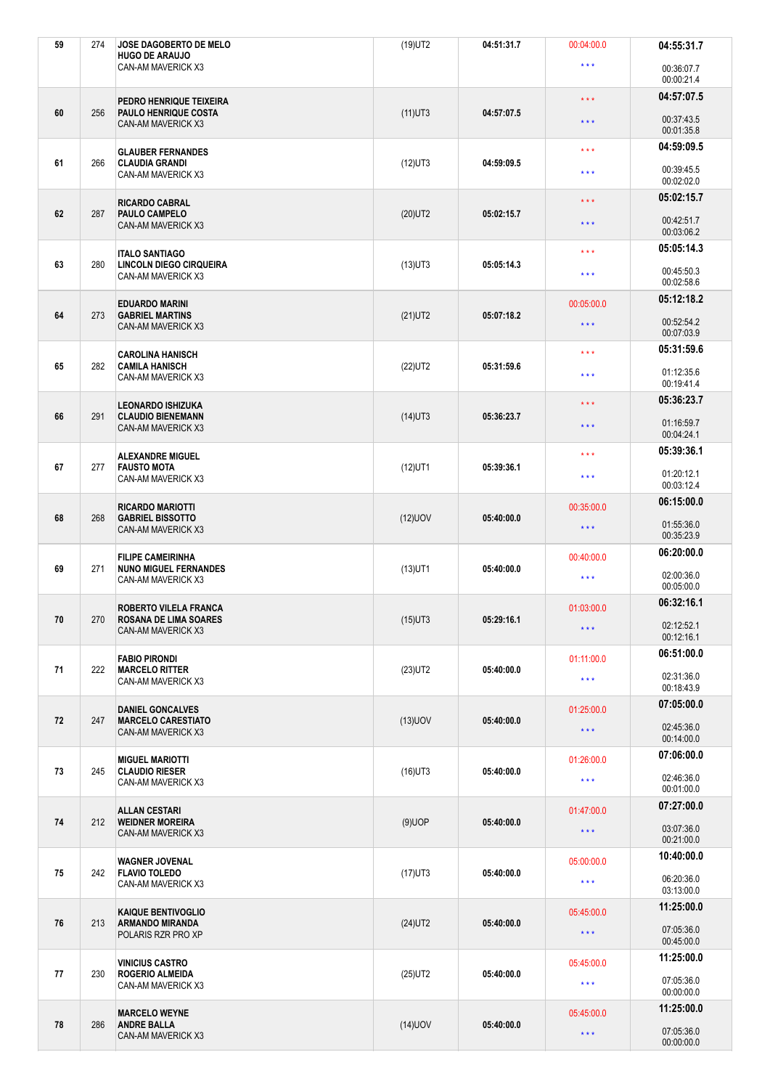| 59 | 274 | JOSE DAGOBERTO DE MELO<br><b>HUGO DE ARAUJO</b>           | $(19)$ UT2 | 04:51:31.7 | 00:04:00.0              | 04:55:31.7               |
|----|-----|-----------------------------------------------------------|------------|------------|-------------------------|--------------------------|
|    |     | CAN-AM MAVERICK X3                                        |            |            | $\star \star \star$     | 00:36:07.7<br>00:00:21.4 |
|    |     | PEDRO HENRIQUE TEIXEIRA                                   |            |            | $\star \star \star$     | 04:57:07.5               |
| 60 | 256 | <b>PAULO HENRIQUE COSTA</b><br>CAN-AM MAVERICK X3         | $(11)$ UT3 | 04:57:07.5 | $\star$ $\star$ $\star$ | 00:37:43.5<br>00:01:35.8 |
| 61 | 266 | <b>GLAUBER FERNANDES</b><br><b>CLAUDIA GRANDI</b>         |            | 04:59:09.5 | $\star$ $\star$ $\star$ | 04:59:09.5               |
|    |     | CAN-AM MAVERICK X3                                        | $(12)$ UT3 |            | $\star \star \star$     | 00:39:45.5<br>00:02:02.0 |
|    |     | <b>RICARDO CABRAL</b>                                     |            |            | $\star$ $\star$ $\star$ | 05:02:15.7               |
| 62 | 287 | <b>PAULO CAMPELO</b><br><b>CAN-AM MAVERICK X3</b>         | $(20)$ UT2 | 05:02:15.7 | $\star \star \star$     | 00:42:51.7<br>00:03:06.2 |
| 63 | 280 | <b>ITALO SANTIAGO</b><br><b>LINCOLN DIEGO CIRQUEIRA</b>   |            | 05:05:14.3 | $\star \star \star$     | 05:05:14.3               |
|    |     | CAN-AM MAVERICK X3                                        | $(13)$ UT3 |            | $\star$ $\star$ $\star$ | 00:45:50.3<br>00:02:58.6 |
| 64 | 273 | <b>EDUARDO MARINI</b><br><b>GABRIEL MARTINS</b>           | $(21)$ UT2 | 05:07:18.2 | 00:05:00.0              | 05:12:18.2               |
|    |     | CAN-AM MAVERICK X3                                        |            |            | $\star \star \star$     | 00:52:54.2<br>00:07:03.9 |
|    |     | <b>CAROLINA HANISCH</b>                                   |            |            | $\star\star\star$       | 05:31:59.6               |
| 65 | 282 | <b>CAMILA HANISCH</b><br>CAN-AM MAVERICK X3               | $(22)$ UT2 | 05:31:59.6 | $\star \star \star$     | 01:12:35.6<br>00:19:41.4 |
|    |     | <b>LEONARDO ISHIZUKA</b>                                  |            |            | $\star$ $\star$ $\star$ | 05:36:23.7               |
| 66 | 291 | <b>CLAUDIO BIENEMANN</b><br>CAN-AM MAVERICK X3            | $(14)$ UT3 | 05:36:23.7 | $\star \star \star$     | 01:16:59.7<br>00:04:24.1 |
|    |     | <b>ALEXANDRE MIGUEL</b>                                   |            |            | $\star \star \star$     | 05:39:36.1               |
| 67 | 277 | <b>FAUSTO MOTA</b><br>CAN-AM MAVERICK X3                  | $(12)$ UT1 | 05:39:36.1 | $\star \star \star$     | 01:20:12.1<br>00:03:12.4 |
|    |     | <b>RICARDO MARIOTTI</b>                                   |            |            | 00:35:00.0              | 06:15:00.0               |
| 68 | 268 | <b>GABRIEL BISSOTTO</b><br>CAN-AM MAVERICK X3             | $(12)$ UOV | 05:40:00.0 | $\star$ $\star$ $\star$ | 01:55:36.0<br>00:35:23.9 |
| 69 |     | <b>FILIPE CAMEIRINHA</b><br><b>NUNO MIGUEL FERNANDES</b>  |            | 05:40:00.0 | 00:40:00.0              | 06:20:00.0               |
|    | 271 | CAN-AM MAVERICK X3                                        | $(13)$ UT1 |            | $\star$ $\star$ $\star$ | 02:00:36.0<br>00:05:00.0 |
|    |     | ROBERTO VILELA FRANCA                                     |            |            | 01:03:00.0              | 06:32:16.1               |
| 70 | 270 | <b>ROSANA DE LIMA SOARES</b><br><b>CAN-AM MAVERICK X3</b> | $(15)$ UT3 | 05:29:16.1 | $\star$ $\star$ $\star$ | 02:12:52.1<br>00:12:16.1 |
| 71 | 222 | <b>FABIO PIRONDI</b><br><b>MARCELO RITTER</b>             | $(23)$ UT2 | 05:40:00.0 | 01:11:00.0              | 06:51:00.0               |
|    |     | CAN-AM MAVERICK X3                                        |            |            | $\star$ $\star$ $\star$ | 02:31:36.0<br>00:18:43.9 |
|    |     | <b>DANIEL GONCALVES</b>                                   |            |            | 01:25:00.0              | 07:05:00.0               |
| 72 | 247 | <b>MARCELO CARESTIATO</b><br>CAN-AM MAVERICK X3           | $(13)$ UOV | 05:40:00.0 | $\star$ $\star$ $\star$ | 02:45:36.0<br>00:14:00.0 |
|    |     | <b>MIGUEL MARIOTTI</b>                                    |            |            | 01:26:00.0              | 07:06:00.0               |
| 73 | 245 | <b>CLAUDIO RIESER</b><br>CAN-AM MAVERICK X3               | $(16)$ UT3 | 05:40:00.0 | $\star$ $\star$ $\star$ | 02:46:36.0<br>00:01:00.0 |
| 74 | 212 | <b>ALLAN CESTARI</b><br><b>WEIDNER MOREIRA</b>            |            | 05:40:00.0 | 01:47:00.0              | 07:27:00.0               |
|    |     | CAN-AM MAVERICK X3                                        | $(9)$ UOP  |            | $\star$ $\star$ $\star$ | 03:07:36.0<br>00:21:00.0 |
|    |     | <b>WAGNER JOVENAL</b>                                     |            |            | 05:00:00.0              | 10:40:00.0               |
| 75 | 242 | <b>FLAVIO TOLEDO</b><br>CAN-AM MAVERICK X3                | $(17)$ UT3 | 05:40:00.0 | $\star \star \star$     | 06:20:36.0<br>03:13:00.0 |
|    |     | <b>KAIQUE BENTIVOGLIO</b>                                 |            |            | 05:45:00.0              | 11:25:00.0               |
| 76 | 213 | <b>ARMANDO MIRANDA</b><br>POLARIS RZR PRO XP              | $(24)$ UT2 | 05:40:00.0 | $\star\star\star$       | 07:05:36.0<br>00:45:00.0 |
|    |     | <b>VINICIUS CASTRO</b>                                    |            |            | 05:45:00.0              | 11:25:00.0               |
| 77 | 230 | ROGERIO ALMEIDA<br>CAN-AM MAVERICK X3                     | $(25)$ UT2 | 05:40:00.0 | $\star$ $\star$ $\star$ | 07:05:36.0<br>00:00:00.0 |
|    |     | <b>MARCELO WEYNE</b>                                      |            |            | 05:45:00.0              | 11:25:00.0               |
| 78 | 286 | <b>ANDRE BALLA</b><br>CAN-AM MAVERICK X3                  | $(14)$ UOV | 05:40:00.0 | $\star$ $\star$ $\star$ | 07:05:36.0<br>00:00:00.0 |